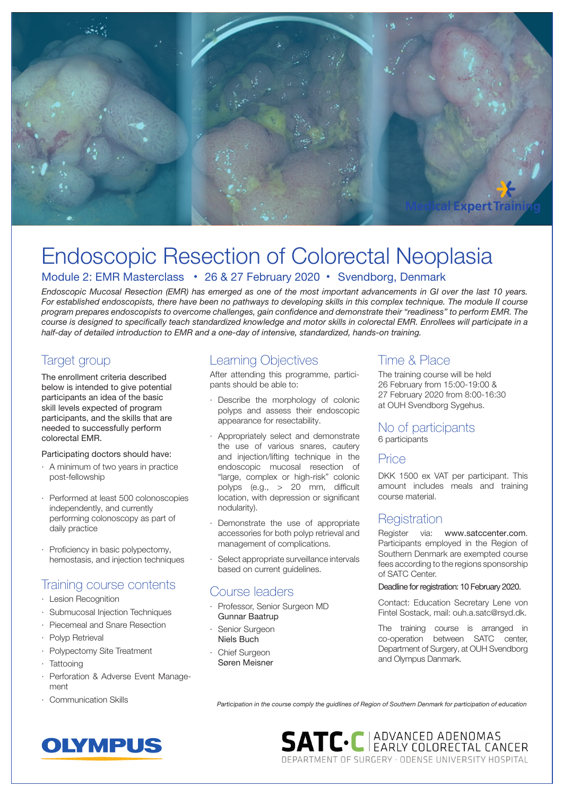

# Endoscopic Resection of Colorectal Neoplasia

## Module 2: EMR Masterclass • 26 & 27 February 2020 • Svendborg, Denmark

Endoscopic Mucosal Resection (EMR) has emerged as one of the most important advancements in GI over the last 10 years. For established endoscopists, there have been no pathways to developing skills in this complex technique. The module II course program prepares endoscopists to overcome challenges, gain confidence and demonstrate their "readiness" to perform EMR. The course is designed to specifically teach standardized knowledge and motor skills in colorectal EMR. Enrollees will participate in a half-day of detailed introduction to EMR and a one-day of intensive, standardized, hands-on training.

# Target group

The enrollment criteria described below is intended to give potential participants an idea of the basic skill levels expected of program participants, and the skills that are needed to successfully perform colorectal EMR.

#### Participating doctors should have:

- A minimum of two years in practice post-fellowship
- Performed at least 500 colonoscopies independently, and currently performing colonoscopy as part of daily practice
- Proficiency in basic polypectomy, hemostasis, and injection techniques

## Training course contents

- · Lesion Recognition
- Submucosal Injection Techniques
- Piecemeal and Snare Resection
- Polyp Retrieval
- · Polypectomy Site Treatment
- · Tattooing
- Perforation & Adverse Event Management
- · Communication Skills

## Learning Objectives

After attending this programme, participants should be able to:

- Describe the morphology of colonic polyps and assess their endoscopic appearance for resectability.
- Appropriately select and demonstrate the use of various snares, cautery and injection/lifting technique in the endoscopic mucosal resection of "large, complex or high-risk" colonic polyps (e.g., > 20 mm, difficult location, with depression or significant nodularity).
- Demonstrate the use of appropriate accessories for both polyp retrieval and management of complications.
- Select appropriate surveillance intervals based on current guidelines.

## Course leaders

- Professor, Senior Surgeon MD Gunnar Baatrup
- Senior Surgeon Niels Buch
- **Chief Surgeon** Søren Meisner

## Time & Place

The training course will be held 26 February from 15:00-19:00 & 27 February 2020 from 8:00-16:30 at OUH Svendborg Sygehus.

## No of participants 6 participants

## Price

DKK 1500 ex VAT per participant. This amount includes meals and training course material.

## **Registration**

Register via: www.satccenter.com. Participants employed in the Region of Southern Denmark are exempted course fees according to the regions sponsorship of SATC Center.

### Deadline for registration: 10 February 2020.

Contact: Education Secretary Lene von Fintel Sostack, mail: ouh.a.satc@rsyd.dk.

The training course is arranged in co-operation between SATC center, Department of Surgery, at OUH Svendborg and Olympus Danmark.

Participation in the course comply the guidlines of Region of Southern Denmark for participation of education

**SATC** C **ADVANCED ADENOMAS** DEPARTMENT OF SURGERY · ODENSE UNIVERSITY HOSPITAL